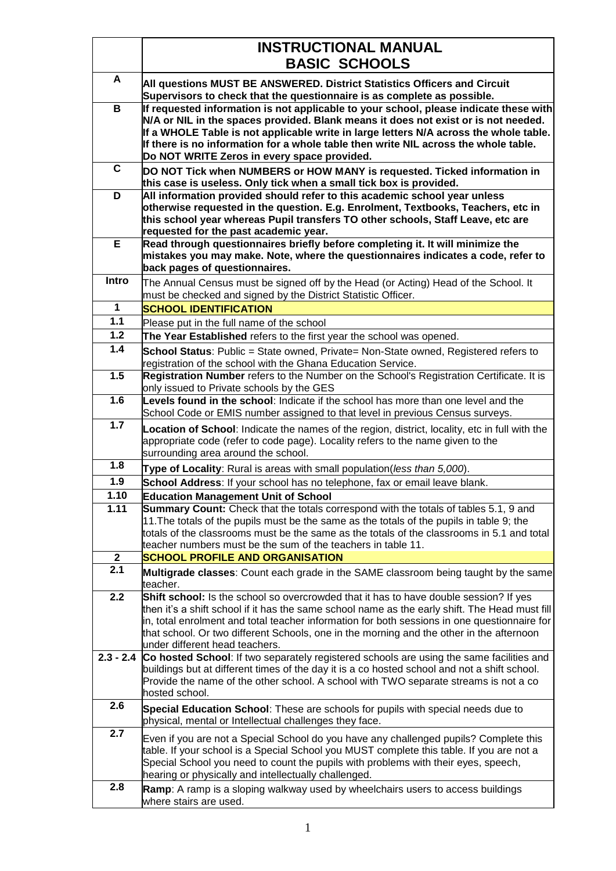|                      | <b>INSTRUCTIONAL MANUAL</b><br><b>BASIC SCHOOLS</b>                                                                                                                                                                                                                                                                                                                                                                   |
|----------------------|-----------------------------------------------------------------------------------------------------------------------------------------------------------------------------------------------------------------------------------------------------------------------------------------------------------------------------------------------------------------------------------------------------------------------|
| A                    | All questions MUST BE ANSWERED. District Statistics Officers and Circuit<br>Supervisors to check that the questionnaire is as complete as possible.                                                                                                                                                                                                                                                                   |
| B                    | If requested information is not applicable to your school, please indicate these with<br>N/A or NIL in the spaces provided. Blank means it does not exist or is not needed.<br>If a WHOLE Table is not applicable write in large letters N/A across the whole table.<br>If there is no information for a whole table then write NIL across the whole table.<br>Do NOT WRITE Zeros in every space provided.            |
| C                    | DO NOT Tick when NUMBERS or HOW MANY is requested. Ticked information in<br>this case is useless. Only tick when a small tick box is provided.                                                                                                                                                                                                                                                                        |
| D                    | All information provided should refer to this academic school year unless<br>otherwise requested in the question. E.g. Enrolment, Textbooks, Teachers, etc in<br>this school year whereas Pupil transfers TO other schools, Staff Leave, etc are<br>requested for the past academic year.                                                                                                                             |
| Е                    | Read through questionnaires briefly before completing it. It will minimize the<br>mistakes you may make. Note, where the questionnaires indicates a code, refer to<br>back pages of questionnaires.                                                                                                                                                                                                                   |
| Intro                | The Annual Census must be signed off by the Head (or Acting) Head of the School. It<br>must be checked and signed by the District Statistic Officer.                                                                                                                                                                                                                                                                  |
| $\mathbf 1$          | <b>SCHOOL IDENTIFICATION</b>                                                                                                                                                                                                                                                                                                                                                                                          |
| $\overline{1.1}$     | Please put in the full name of the school                                                                                                                                                                                                                                                                                                                                                                             |
| $1.2$                | The Year Established refers to the first year the school was opened.                                                                                                                                                                                                                                                                                                                                                  |
| 1.4                  | <b>School Status</b> : Public = State owned, Private= Non-State owned, Registered refers to<br>registration of the school with the Ghana Education Service.                                                                                                                                                                                                                                                           |
| 1.5                  | Registration Number refers to the Number on the School's Registration Certificate. It is<br>only issued to Private schools by the GES                                                                                                                                                                                                                                                                                 |
| 1.6                  | Levels found in the school: Indicate if the school has more than one level and the<br>School Code or EMIS number assigned to that level in previous Census surveys.                                                                                                                                                                                                                                                   |
| 1.7                  | <b>Location of School:</b> Indicate the names of the region, district, locality, etc in full with the<br>appropriate code (refer to code page). Locality refers to the name given to the<br>surrounding area around the school.                                                                                                                                                                                       |
| 1.8                  | Type of Locality: Rural is areas with small population(less than 5,000).                                                                                                                                                                                                                                                                                                                                              |
| $1.9$                | School Address: If your school has no telephone, fax or email leave blank.                                                                                                                                                                                                                                                                                                                                            |
| 1.10                 | <b>Education Management Unit of School</b>                                                                                                                                                                                                                                                                                                                                                                            |
| 1.11<br>$\mathbf{2}$ | <b>Summary Count:</b> Check that the totals correspond with the totals of tables 5.1, 9 and<br>11. The totals of the pupils must be the same as the totals of the pupils in table 9; the<br>totals of the classrooms must be the same as the totals of the classrooms in 5.1 and total<br>teacher numbers must be the sum of the teachers in table 11.<br><b>SCHOOL PROFILE AND ORGANISATION</b>                      |
| 2.1                  | <b>Multigrade classes:</b> Count each grade in the SAME classroom being taught by the same<br>teacher.                                                                                                                                                                                                                                                                                                                |
| 2.2                  | Shift school: Is the school so overcrowded that it has to have double session? If yes<br>then it's a shift school if it has the same school name as the early shift. The Head must fill<br>in, total enrolment and total teacher information for both sessions in one questionnaire for<br>that school. Or two different Schools, one in the morning and the other in the afternoon<br>under different head teachers. |
| $2.3 - 2.4$          | Co hosted School: If two separately registered schools are using the same facilities and<br>buildings but at different times of the day it is a co hosted school and not a shift school.<br>Provide the name of the other school. A school with TWO separate streams is not a co<br>hosted school.                                                                                                                    |
| 2.6                  | Special Education School: These are schools for pupils with special needs due to<br>physical, mental or Intellectual challenges they face.                                                                                                                                                                                                                                                                            |
| 2.7                  | Even if you are not a Special School do you have any challenged pupils? Complete this<br>table. If your school is a Special School you MUST complete this table. If you are not a<br>Special School you need to count the pupils with problems with their eyes, speech,<br>hearing or physically and intellectually challenged.                                                                                       |
| 2.8                  | Ramp: A ramp is a sloping walkway used by wheelchairs users to access buildings<br>where stairs are used.                                                                                                                                                                                                                                                                                                             |